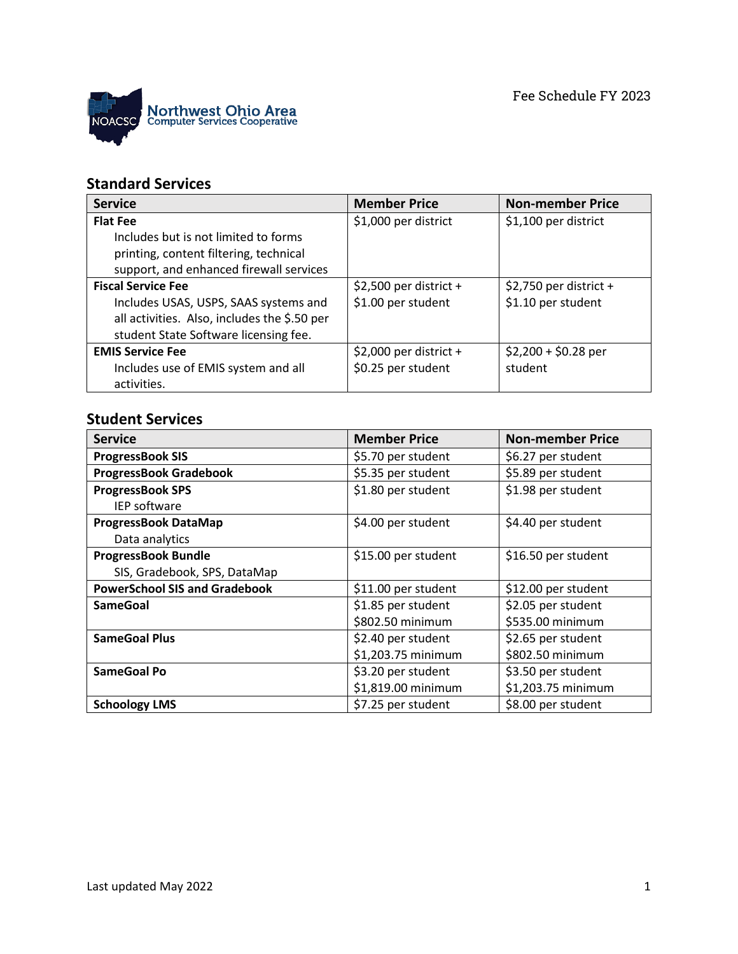

## **Standard Services**

| <b>Service</b>                               | <b>Member Price</b>     | <b>Non-member Price</b> |
|----------------------------------------------|-------------------------|-------------------------|
| <b>Flat Fee</b>                              | \$1,000 per district    | \$1,100 per district    |
| Includes but is not limited to forms         |                         |                         |
| printing, content filtering, technical       |                         |                         |
| support, and enhanced firewall services      |                         |                         |
| <b>Fiscal Service Fee</b>                    | $$2,500$ per district + | $$2,750$ per district + |
| Includes USAS, USPS, SAAS systems and        | \$1.00 per student      | \$1.10 per student      |
| all activities. Also, includes the \$.50 per |                         |                         |
| student State Software licensing fee.        |                         |                         |
| <b>EMIS Service Fee</b>                      | $$2,000$ per district + | $$2,200 + $0.28$ per    |
| Includes use of EMIS system and all          | \$0.25 per student      | student                 |
| activities.                                  |                         |                         |

## **Student Services**

| <b>Service</b>                       | <b>Member Price</b> | <b>Non-member Price</b> |
|--------------------------------------|---------------------|-------------------------|
| <b>ProgressBook SIS</b>              | \$5.70 per student  | \$6.27 per student      |
| <b>ProgressBook Gradebook</b>        | \$5.35 per student  | \$5.89 per student      |
| <b>ProgressBook SPS</b>              | \$1.80 per student  | \$1.98 per student      |
| <b>IEP software</b>                  |                     |                         |
| <b>ProgressBook DataMap</b>          | \$4.00 per student  | \$4.40 per student      |
| Data analytics                       |                     |                         |
| <b>ProgressBook Bundle</b>           | \$15.00 per student | \$16.50 per student     |
| SIS, Gradebook, SPS, DataMap         |                     |                         |
| <b>PowerSchool SIS and Gradebook</b> | \$11.00 per student | \$12.00 per student     |
| <b>SameGoal</b>                      | \$1.85 per student  | \$2.05 per student      |
|                                      | \$802.50 minimum    | \$535.00 minimum        |
| <b>SameGoal Plus</b>                 | \$2.40 per student  | \$2.65 per student      |
|                                      | \$1,203.75 minimum  | \$802.50 minimum        |
| <b>SameGoal Po</b>                   | \$3.20 per student  | \$3.50 per student      |
|                                      | \$1,819.00 minimum  | \$1,203.75 minimum      |
| <b>Schoology LMS</b>                 | \$7.25 per student  | \$8.00 per student      |